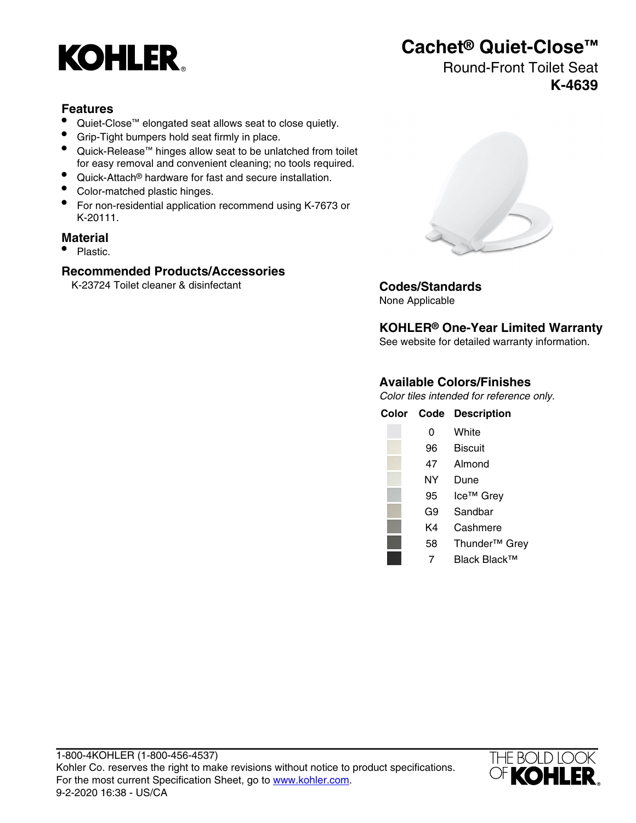

# **Cachet® Quiet-Close™**

## Round-Front Toilet Seat **K-4639**

### **Features**

- Quiet-Close™ elongated seat allows seat to close quietly.
- Grip-Tight bumpers hold seat firmly in place.
- Quick-Release™ hinges allow seat to be unlatched from toilet for easy removal and convenient cleaning; no tools required.
- Quick-Attach® hardware for fast and secure installation.
- Color-matched plastic hinges.
- For non-residential application recommend using K-7673 or K-20111.

### **Material**

• Plastic.

### **Recommended Products/Accessories**

K-23724 Toilet cleaner & disinfectant **Codes/Standards**



None Applicable

**KOHLER® One-Year Limited Warranty**

See website for detailed warranty information.

### **Available Colors/Finishes**

Color tiles intended for reference only.

| Color | Code | <b>Description</b>        |
|-------|------|---------------------------|
|       | 0    | White                     |
|       | 96   | <b>Biscuit</b>            |
|       | 47   | Almond                    |
|       | NΥ   | Dune                      |
|       | 95   | Ice™ Grey                 |
|       | G9   | Sandbar                   |
|       | K4   | Cashmere                  |
|       | 58   | Thunder <sup>™</sup> Grey |
|       | 7    | Black Black™              |